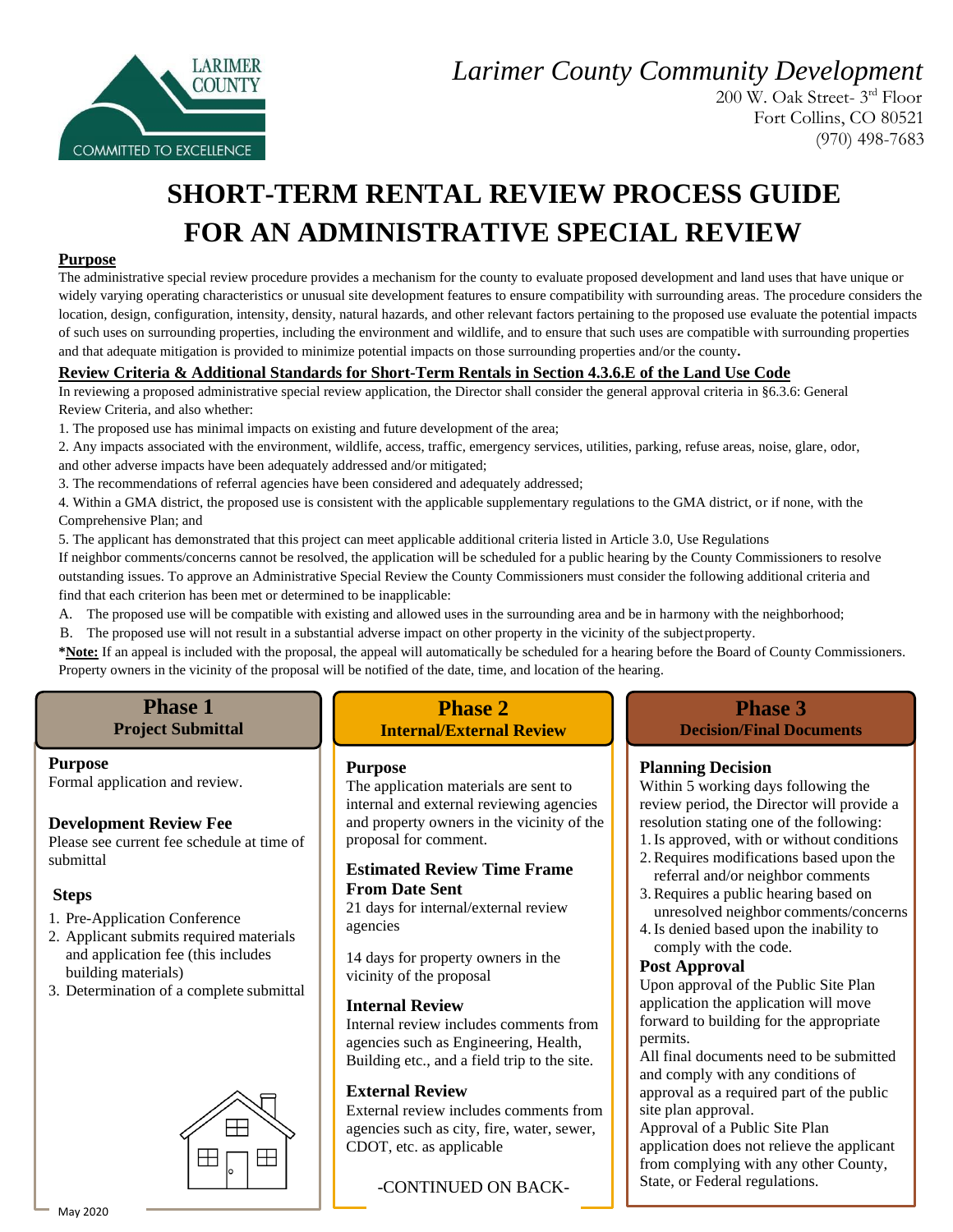*Larimer County Community Development* 



 200 W. Oak Street- 3 rd Floor Fort Collins, CO 80521 (970) 498-7683

## **SHORT-TERM RENTAL REVIEW PROCESS GUIDE FOR AN ADMINISTRATIVE SPECIAL REVIEW**

#### **Purpose**

The administrative special review procedure provides a mechanism for the county to evaluate proposed development and land uses that have unique or widely varying operating characteristics or unusual site development features to ensure compatibility with surrounding areas. The procedure considers the location, design, configuration, intensity, density, natural hazards, and other relevant factors pertaining to the proposed use evaluate the potential impacts of such uses on surrounding properties, including the environment and wildlife, and to ensure that such uses are compatible with surrounding properties and that adequate mitigation is provided to minimize potential impacts on those surrounding properties and/or the county**.** 

#### **Review Criteria & Additional Standards for Short-Term Rentals in Section 4.3.6.E of the Land Use Code**

In reviewing a proposed administrative special review application, the Director shall consider the general approval criteria in §6.3.6: General Review Criteria, and also whether:

1. The proposed use has minimal impacts on existing and future development of the area;

2. Any impacts associated with the environment, wildlife, access, traffic, emergency services, utilities, parking, refuse areas, noise, glare, odor, and other adverse impacts have been adequately addressed and/or mitigated;

3. The recommendations of referral agencies have been considered and adequately addressed;

4. Within a GMA district, the proposed use is consistent with the applicable supplementary regulations to the GMA district, or if none, with the Comprehensive Plan; and

5. The applicant has demonstrated that this project can meet applicable additional criteria listed in Article 3.0, Use Regulations If neighbor comments/concerns cannot be resolved, the application will be scheduled for a public hearing by the County Commissioners to resolve outstanding issues. To approve an Administrative Special Review the County Commissioners must consider the following additional criteria and find that each criterion has been met or determined to be inapplicable:

A. The proposed use will be compatible with existing and allowed uses in the surrounding area and be in harmony with the neighborhood;

B. The proposed use will not result in a substantial adverse impact on other property in the vicinity of the subjectproperty.

**\*Note:** If an appeal is included with the proposal, the appeal will automatically be scheduled for a hearing before the Board of County Commissioners. Property owners in the vicinity of the proposal will be notified of the date, time, and location of the hearing.

### **Phase 1**

#### **Project Submittal**

#### **Purpose**

Formal application and review.

#### **Development Review Fee**

Please see current fee schedule at time of submittal

#### **Steps**

- 1. Pre-Application Conference
- 2. Applicant submits required materials and application fee (this includes building materials)
- 3. Determination of a complete submittal



#### **Phase 2 Internal/External Review**

#### **Purpose**

The application materials are sent to internal and external reviewing agencies and property owners in the vicinity of the proposal for comment.

#### **Estimated Review Time Frame From Date Sent**

21 days for internal/external review agencies

14 days for property owners in the vicinity of the proposal

#### **Internal Review**

Internal review includes comments from agencies such as Engineering, Health, Building etc., and a field trip to the site.

#### **External Review**

External review includes comments from agencies such as city, fire, water, sewer, CDOT, etc. as applicable

-CONTINUED ON BACK-

#### **Phase 3 Decision/Final Documents**

#### **Planning Decision**

Within 5 working days following the review period, the Director will provide a resolution stating one of the following: 1.Is approved, with or without conditions

- 2.Requires modifications based upon the referral and/or neighbor comments
- 3.Requires a public hearing based on unresolved neighbor comments/concerns
- 4.Is denied based upon the inability to comply with the code.

#### **Post Approval**

Upon approval of the Public Site Plan application the application will move forward to building for the appropriate permits.

All final documents need to be submitted and comply with any conditions of approval as a required part of the public site plan approval.

Approval of a Public Site Plan application does not relieve the applicant from complying with any other County, State, or Federal regulations.